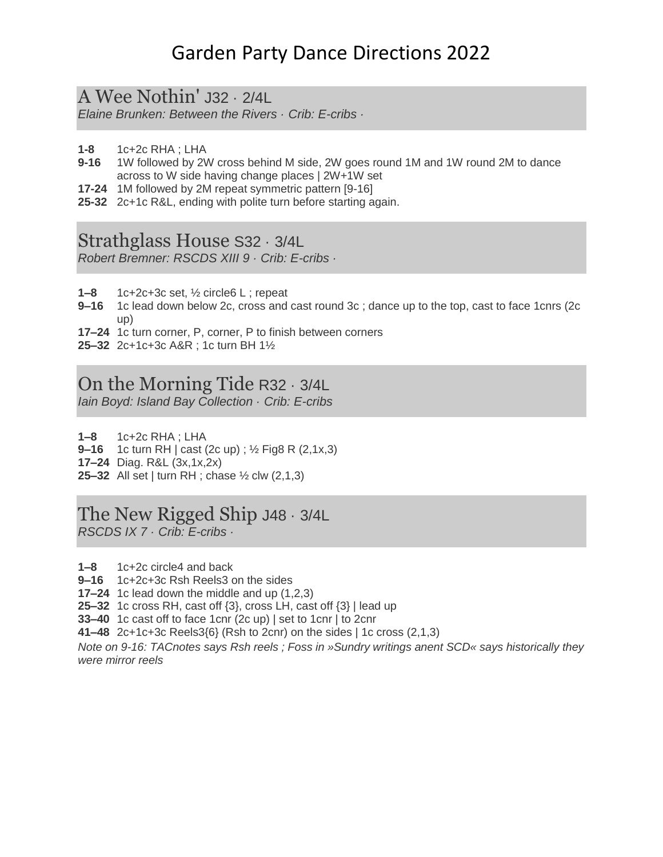# Garden Party Dance Directions 2022

### A Wee Nothin' J32 · 2/4L

*Elaine Brunken: Between the Rivers · Crib: E-cribs ·* 

- **1-8** 1c+2c RHA ; LHA
- **9-16** 1W followed by 2W cross behind M side, 2W goes round 1M and 1W round 2M to dance across to W side having change places | 2W+1W set
- **17-24** 1M followed by 2M repeat symmetric pattern [9-16]
- **25-32** 2c+1c R&L, ending with polite turn before starting again.

## Strathglass House S32 · 3/4L

*Robert Bremner: RSCDS XIII 9 · Crib: E-cribs ·* 

- **1–8** 1c+2c+3c set, ½ circle6 L ; repeat
- **9–16** 1c lead down below 2c, cross and cast round 3c ; dance up to the top, cast to face 1cnrs (2c up)
- **17–24** 1c turn corner, P, corner, P to finish between corners
- **25–32** 2c+1c+3c A&R ; 1c turn BH 1½

## On the Morning Tide R32 · 3/4L

*Iain Boyd: Island Bay Collection · Crib: E-cribs*

- **1–8** 1c+2c RHA ; LHA
- **9–16** 1c turn RH | cast (2c up) ; ½ Fig8 R (2,1x,3)
- **17–24** Diag. R&L (3x,1x,2x)
- **25–32** All set | turn RH ; chase ½ clw (2,1,3)

## The New Rigged Ship J48 · 3/4L

*RSCDS IX 7 · Crib: E-cribs ·* 

- **1–8** 1c+2c circle4 and back
- **9–16** 1c+2c+3c Rsh Reels3 on the sides
- **17–24** 1c lead down the middle and up (1,2,3)
- **25–32** 1c cross RH, cast off {3}, cross LH, cast off {3} | lead up
- **33–40** 1c cast off to face 1cnr (2c up) | set to 1cnr | to 2cnr
- **41–48** 2c+1c+3c Reels3{6} (Rsh to 2cnr) on the sides | 1c cross (2,1,3)

*Note on 9-16: TACnotes says Rsh reels ; Foss in »Sundry writings anent SCD« says historically they were mirror reels*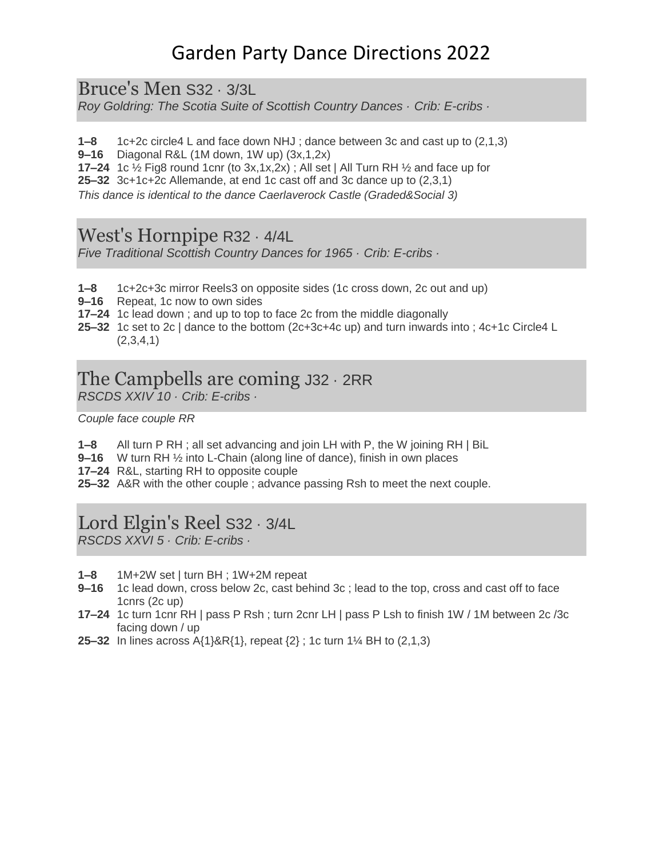# Garden Party Dance Directions 2022

Bruce's Men S32 · 3/3L

*Roy Goldring: The Scotia Suite of Scottish Country Dances · Crib: E-cribs ·* 

**1–8** 1c+2c circle4 L and face down NHJ ; dance between 3c and cast up to (2,1,3)

**9–16** Diagonal R&L (1M down, 1W up) (3x,1,2x)

**17–24** 1c  $\frac{1}{2}$  Fig8 round 1cnr (to 3x,1x,2x); All set | All Turn RH  $\frac{1}{2}$  and face up for

**25–32** 3c+1c+2c Allemande, at end 1c cast off and 3c dance up to (2,3,1)

*This dance is identical to the dance Caerlaverock Castle (Graded&Social 3)*

#### West's Hornpipe R32 · 4/4L

*Five Traditional Scottish Country Dances for 1965 · Crib: E-cribs ·* 

- **1–8** 1c+2c+3c mirror Reels3 on opposite sides (1c cross down, 2c out and up)
- **9–16** Repeat, 1c now to own sides
- **17–24** 1c lead down ; and up to top to face 2c from the middle diagonally
- **25–32** 1c set to 2c | dance to the bottom (2c+3c+4c up) and turn inwards into ; 4c+1c Circle4 L  $(2,3,4,1)$

## The Campbells are coming J32 · 2RR

*RSCDS XXIV 10 · Crib: E-cribs ·* 

*Couple face couple RR*

**1–8** All turn P RH ; all set advancing and join LH with P, the W joining RH | BiL

**9–16** W turn RH ½ into L-Chain (along line of dance), finish in own places

**17–24** R&L, starting RH to opposite couple

**25–32** A&R with the other couple ; advance passing Rsh to meet the next couple.

## Lord Elgin's Reel S32 · 3/4L

*RSCDS XXVI 5 · Crib: E-cribs ·* 

- **1–8** 1M+2W set | turn BH ; 1W+2M repeat
- **9–16** 1c lead down, cross below 2c, cast behind 3c ; lead to the top, cross and cast off to face 1cnrs (2c up)
- **17–24** 1c turn 1cnr RH | pass P Rsh ; turn 2cnr LH | pass P Lsh to finish 1W / 1M between 2c /3c facing down / up
- **25–32** In lines across A{1}&R{1}, repeat {2} ; 1c turn 1¼ BH to (2,1,3)